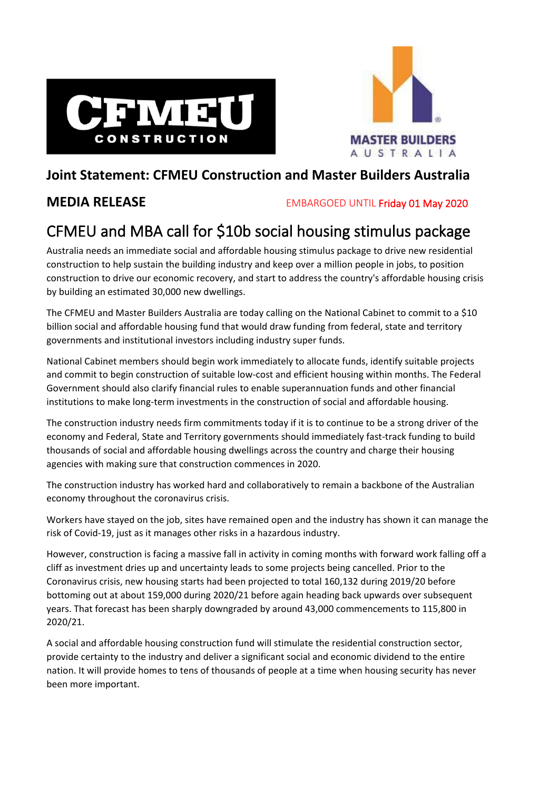



## **Joint Statement: CFMEU Construction and Master Builders Australia**

**MEDIA RELEASE** EMBARGOED UNTIL Friday 01 May 2020

## CFMEU and MBA call for \$10b social housing stimulus package

Australia needs an immediate social and affordable housing stimulus package to drive new residential construction to help sustain the building industry and keep over a million people in jobs, to position construction to drive our economic recovery, and start to address the country's affordable housing crisis by building an estimated 30,000 new dwellings.

The CFMEU and Master Builders Australia are today calling on the National Cabinet to commit to a \$10 billion social and affordable housing fund that would draw funding from federal, state and territory governments and institutional investors including industry super funds.

National Cabinet members should begin work immediately to allocate funds, identify suitable projects and commit to begin construction of suitable low-cost and efficient housing within months. The Federal Government should also clarify financial rules to enable superannuation funds and other financial institutions to make long-term investments in the construction of social and affordable housing.

The construction industry needs firm commitments today if it is to continue to be a strong driver of the economy and Federal, State and Territory governments should immediately fast-track funding to build thousands of social and affordable housing dwellings across the country and charge their housing agencies with making sure that construction commences in 2020.

The construction industry has worked hard and collaboratively to remain a backbone of the Australian economy throughout the coronavirus crisis.

Workers have stayed on the job, sites have remained open and the industry has shown it can manage the risk of Covid-19, just as it manages other risks in a hazardous industry.

However, construction is facing a massive fall in activity in coming months with forward work falling off a cliff as investment dries up and uncertainty leads to some projects being cancelled. Prior to the Coronavirus crisis, new housing starts had been projected to total 160,132 during 2019/20 before bottoming out at about 159,000 during 2020/21 before again heading back upwards over subsequent years. That forecast has been sharply downgraded by around 43,000 commencements to 115,800 in 2020/21.

A social and affordable housing construction fund will stimulate the residential construction sector, provide certainty to the industry and deliver a significant social and economic dividend to the entire nation. It will provide homes to tens of thousands of people at a time when housing security has never been more important.